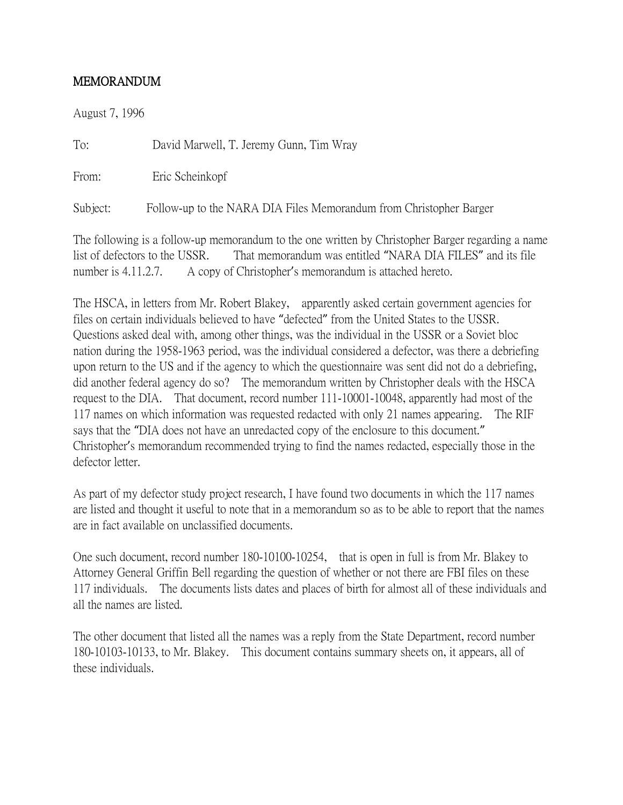## MEMORANDUM

August 7, 1996

To: David Marwell, T. Jeremy Gunn, Tim Wray

From: Eric Scheinkopf

Subject: Follow-up to the NARA DIA Files Memorandum from Christopher Barger

The following is a follow-up memorandum to the one written by Christopher Barger regarding a name list of defectors to the USSR. That memorandum was entitled "NARA DIA FILES" and its file number is 4.11.2.7. A copy of Christopher's memorandum is attached hereto.

The HSCA, in letters from Mr. Robert Blakey, apparently asked certain government agencies for files on certain individuals believed to have "defected" from the United States to the USSR. Questions asked deal with, among other things, was the individual in the USSR or a Soviet bloc nation during the 1958-1963 period, was the individual considered a defector, was there a debriefing upon return to the US and if the agency to which the questionnaire was sent did not do a debriefing, did another federal agency do so? The memorandum written by Christopher deals with the HSCA request to the DIA. That document, record number 111-10001-10048, apparently had most of the 117 names on which information was requested redacted with only 21 names appearing. The RIF says that the "DIA does not have an unredacted copy of the enclosure to this document." Christopher's memorandum recommended trying to find the names redacted, especially those in the defector letter.

As part of my defector study project research, I have found two documents in which the 117 names are listed and thought it useful to note that in a memorandum so as to be able to report that the names are in fact available on unclassified documents.

One such document, record number 180-10100-10254, that is open in full is from Mr. Blakey to Attorney General Griffin Bell regarding the question of whether or not there are FBI files on these 117 individuals. The documents lists dates and places of birth for almost all of these individuals and all the names are listed.

The other document that listed all the names was a reply from the State Department, record number 180-10103-10133, to Mr. Blakey. This document contains summary sheets on, it appears, all of these individuals.